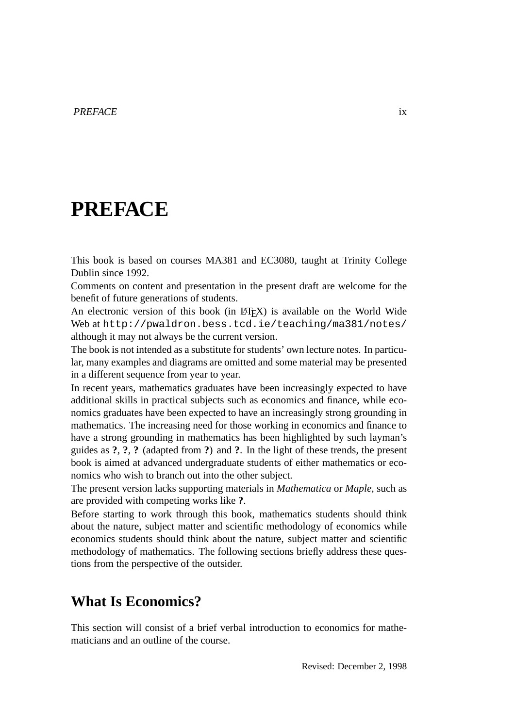## **PREFACE**

This book is based on courses MA381 and EC3080, taught at Trinity College Dublin since 1992.

Comments on content and presentation in the present draft are welcome for the benefit of future generations of students.

An electronic version of this book (in LATEX) is available on the World Wide Web at http://pwaldron.bess.tcd.ie/teaching/ma381/notes/ although it may not always be the current version.

The book is not intended as a substitute for students' own lecture notes. In particular, many examples and diagrams are omitted and some material may be presented in a different sequence from year to year.

In recent years, mathematics graduates have been increasingly expected to have additional skills in practical subjects such as economics and finance, while economics graduates have been expected to have an increasingly strong grounding in mathematics. The increasing need for those working in economics and finance to have a strong grounding in mathematics has been highlighted by such layman's guides as **?**, **?**, **?** (adapted from **?**) and **?**. In the light of these trends, the present book is aimed at advanced undergraduate students of either mathematics or economics who wish to branch out into the other subject.

The present version lacks supporting materials in *Mathematica* or *Maple*, such as are provided with competing works like **?**.

Before starting to work through this book, mathematics students should think about the nature, subject matter and scientific methodology of economics while economics students should think about the nature, subject matter and scientific methodology of mathematics. The following sections briefly address these questions from the perspective of the outsider.

## **What Is Economics?**

This section will consist of a brief verbal introduction to economics for mathematicians and an outline of the course.